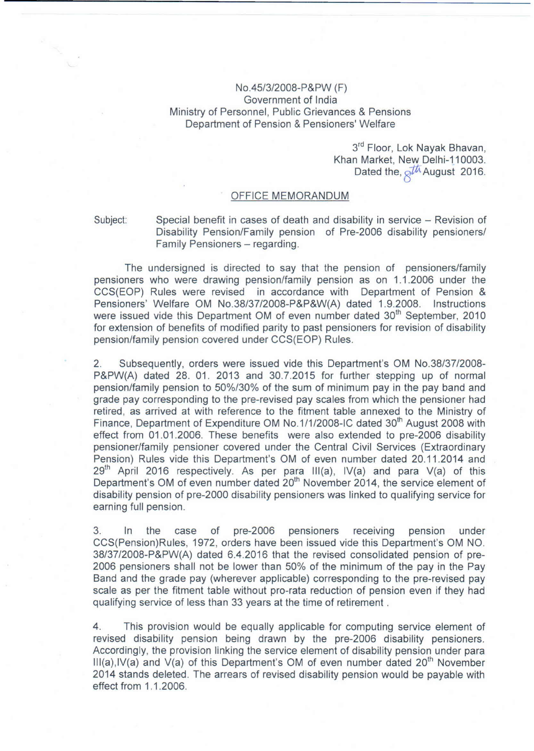## No.45/3/2008-P&PW (F) Government of India Ministry of Personnel, Public Grievances & Pensions Department of Pension & Pensioners' Welfare

3<sup>rd</sup> Floor, Lok Nayak Bhavan, Khan Market, New Delhi-110003. Dated the,  $\delta^{\text{th}}$  August 2016.

## OFFICE MEMORANDUM

Subject: Special benefit in cases of death and disability in service – Revision of Disability Pension/Family pension of Pre-2006 disability pensioners/ Family Pensioners - regarding.

The undersigned is directed to say that the pension of pensioners/family pensioners who were drawing pension/family pension as on 1.1.2006 under the CCS(EOP) Rules were revised in accordance with Department of Pension & Pensioners' Welfare OM No.38/37/2008-P&P&W(A) dated 1.9.2008. Instructions were issued vide this Department OM of even number dated 30<sup>th</sup> September, 2010 for extension of benefits of modified parity to past pensioners for revision of disability pension/family pension covered under CCS(EOP) Rules.

2. Subsequently, orders were issued vide this Department's OM NO.38/37/2008- P&PW(A) dated 28. 01. 2013 and 30.7.2015 for further stepping up of normal pension/family pension to 50%/30% of the sum of minimum pay in the pay band and grade pay corresponding to the pre-revised pay scales from which the pensioner had retired, as arrived at with reference to the fitment table annexed to the Ministry of Finance, Department of Expenditure OM No.1/1/2008-IC dated 30<sup>th</sup> August 2008 with effect from 01.01.2006. These benefits were also extended to pre-2006 disability pensioner/family pensioner covered under the Central Civil Services (Extraordinary Pension) Rules vide this Department's OM of even number dated 20.11.2014 and  $29<sup>th</sup>$  April 2016 respectively. As per para III(a), IV(a) and para V(a) of this Department's OM of even number dated 20<sup>th</sup> November 2014, the service element of disability pension of pre-2000 disability pensioners was linked to qualifying service for earning full pension.

3. In the case of pre-2006 pensioners receiving pension under CCS(Pension)Rules, 1972, orders have been issued vide this Department's OM NO. 38/37/2008-P&PW(A) dated 6.4.2016 that the revised consolidated pension of pre-2006 pensioners shall not be lower than 50% of the minimum of the pay in the Pay Band and the grade pay (wherever applicable) corresponding to the pre-revised pay scale as per the fitment table without pro-rata reduction of pension even if they had qualifying service of less than 33 years at the time of retirement.

4. This provision would be equally applicable for computing service element of revised disability pension being drawn by the pre-2006 disability pensioners. Accordingly, the provision linking the service element of disability pension under para  $III(a),IV(a)$  and  $V(a)$  of this Department's OM of even number dated 20<sup>th</sup> November 2014 stands deleted. The arrears of revised disability pension would be payable with effect from 1.1.2006.